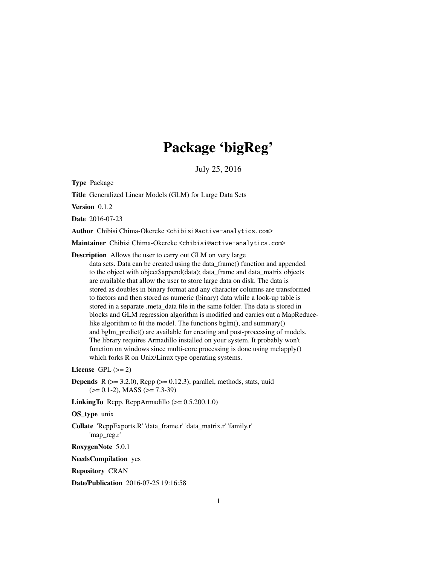# Package 'bigReg'

July 25, 2016

Type Package

Title Generalized Linear Models (GLM) for Large Data Sets

Version 0.1.2

Date 2016-07-23

Author Chibisi Chima-Okereke <chibisi@active-analytics.com>

Maintainer Chibisi Chima-Okereke <chibisi@active-analytics.com>

Description Allows the user to carry out GLM on very large

data sets. Data can be created using the data\_frame() function and appended to the object with object\$append(data); data\_frame and data\_matrix objects are available that allow the user to store large data on disk. The data is stored as doubles in binary format and any character columns are transformed to factors and then stored as numeric (binary) data while a look-up table is stored in a separate .meta\_data file in the same folder. The data is stored in blocks and GLM regression algorithm is modified and carries out a MapReducelike algorithm to fit the model. The functions bglm(), and summary() and bglm\_predict() are available for creating and post-processing of models. The library requires Armadillo installed on your system. It probably won't function on windows since multi-core processing is done using mclapply() which forks R on Unix/Linux type operating systems.

License GPL  $(>= 2)$ 

**Depends** R ( $>= 3.2.0$ ), Rcpp ( $>= 0.12.3$ ), parallel, methods, stats, uuid  $(>= 0.1 - 2)$ , MASS  $(>= 7.3 - 39)$ 

**LinkingTo** Rcpp, RcppArmadillo  $(>= 0.5.200.1.0)$ 

#### OS type unix

Collate 'RcppExports.R' 'data\_frame.r' 'data\_matrix.r' 'family.r' 'map\_reg.r'

RoxygenNote 5.0.1

NeedsCompilation yes

Repository CRAN

Date/Publication 2016-07-25 19:16:58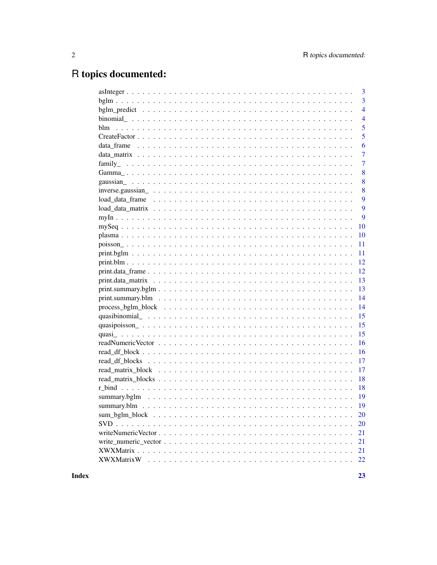## R topics documented:

| 3              |
|----------------|
| 3              |
| $\overline{4}$ |
| $\overline{4}$ |
| 5              |
| 5              |
| 6              |
| $\overline{7}$ |
| $\overline{7}$ |
| 8              |
| 8              |
| 8              |
| 9              |
| 9              |
| 9              |
| 10             |
| 10             |
| 11             |
| 11             |
| 12             |
| 12             |
| 13             |
| 13             |
| 14             |
| 14             |
| 15             |
| 15             |
| 15             |
| 16             |
| 16             |
| 17             |
| 17             |
| 18             |
| 18             |
|                |
|                |
| 20             |
|                |
| 20             |
| 21             |
| 21             |
| 21             |
| 22             |

**Index**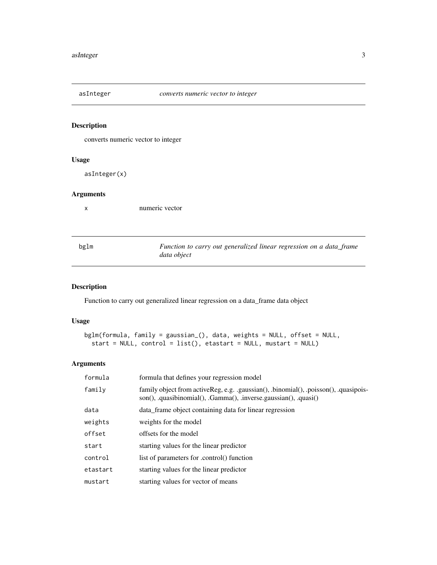<span id="page-2-0"></span>

converts numeric vector to integer

#### Usage

asInteger(x)

#### Arguments

x numeric vector

| bglm | Function to carry out generalized linear regression on a data_frame |
|------|---------------------------------------------------------------------|
|      | data object                                                         |

## Description

Function to carry out generalized linear regression on a data\_frame data object

#### Usage

```
bglm(formula, family = gaussian_(), data, weights = NULL, offset = NULL,
  start = NULL, control = list(), etastart = NULL, mustart = NULL)
```

| formula  | formula that defines your regression model                                                                                                            |
|----------|-------------------------------------------------------------------------------------------------------------------------------------------------------|
| family   | family object from active Reg, e.g. gaussian(), binomial(), poisson(), quasipois-<br>son(), .quasibinomial(), .Gamma(), .inverse.gaussian(), .quasi() |
| data     | data_frame object containing data for linear regression                                                                                               |
| weights  | weights for the model                                                                                                                                 |
| offset   | offsets for the model                                                                                                                                 |
| start    | starting values for the linear predictor                                                                                                              |
| control  | list of parameters for .control() function                                                                                                            |
| etastart | starting values for the linear predictor                                                                                                              |
| mustart  | starting values for vector of means                                                                                                                   |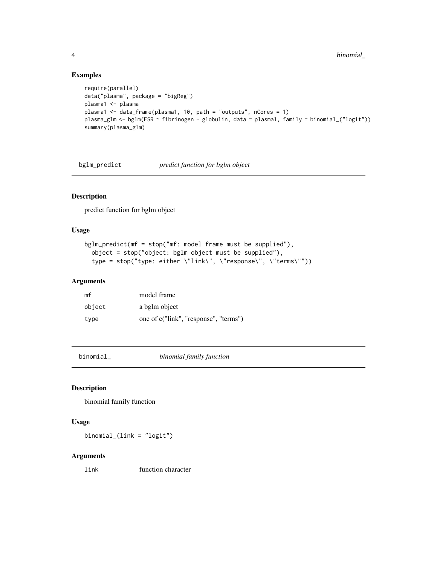#### Examples

```
require(parallel)
data("plasma", package = "bigReg")
plasma1 <- plasma
plasma1 <- data_frame(plasma1, 10, path = "outputs", nCores = 1)
plasma_glm <- bglm(ESR ~ fibrinogen + globulin, data = plasma1, family = binomial_("logit"))
summary(plasma_glm)
```
bglm\_predict *predict function for bglm object*

## Description

predict function for bglm object

#### Usage

```
bglm_predict(mf = stop("mf: model frame must be supplied"),
 object = stop("object: bglm object must be supplied"),
  type = stop("type: either \"link\", \"response\", \"terms\""))
```
#### Arguments

| mf     | model frame                           |
|--------|---------------------------------------|
| object | a bglm object                         |
| type   | one of c("link", "response", "terms") |

binomial\_ *binomial family function*

#### Description

binomial family function

#### Usage

binomial\_(link = "logit")

#### Arguments

link function character

<span id="page-3-0"></span>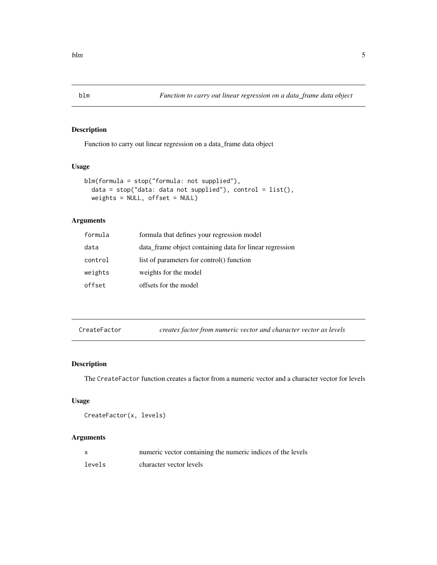Function to carry out linear regression on a data\_frame data object

#### Usage

```
blm(formula = stop("formula: not supplied"),
 data = stop("data: data not supplied"), control = list(),weights = NULL, offset = NULL)
```
#### Arguments

| formula | formula that defines your regression model              |
|---------|---------------------------------------------------------|
| data    | data frame object containing data for linear regression |
| control | list of parameters for control() function               |
| weights | weights for the model                                   |
| offset  | offsets for the model                                   |

CreateFactor *creates factor from numeric vector and character vector as levels*

#### Description

The CreateFactor function creates a factor from a numeric vector and a character vector for levels

#### Usage

```
CreateFactor(x, levels)
```

|        | numeric vector containing the numeric indices of the levels |
|--------|-------------------------------------------------------------|
| levels | character vector levels                                     |

<span id="page-4-0"></span>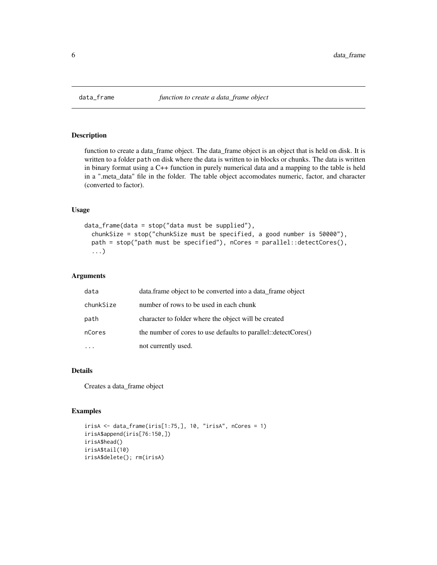<span id="page-5-0"></span>

function to create a data\_frame object. The data\_frame object is an object that is held on disk. It is written to a folder path on disk where the data is written to in blocks or chunks. The data is written in binary format using a C++ function in purely numerical data and a mapping to the table is held in a ".meta\_data" file in the folder. The table object accomodates numeric, factor, and character (converted to factor).

#### Usage

```
data_frame(data = stop("data must be supplied"),
  chunkSize = stop("chunkSize must be specified, a good number is 50000"),
  path = stop("path must be specified"), nCores = parallel::detectCores(),
  ...)
```
#### Arguments

| data      | data. frame object to be converted into a data_frame object    |
|-----------|----------------------------------------------------------------|
| chunkSize | number of rows to be used in each chunk                        |
| path      | character to folder where the object will be created           |
| nCores    | the number of cores to use defaults to parallel::detectCores() |
|           | not currently used.                                            |

#### Details

Creates a data\_frame object

#### Examples

```
irisA <- data_frame(iris[1:75,], 10, "irisA", nCores = 1)
irisA$append(iris[76:150,])
irisA$head()
irisA$tail(10)
irisA$delete(); rm(irisA)
```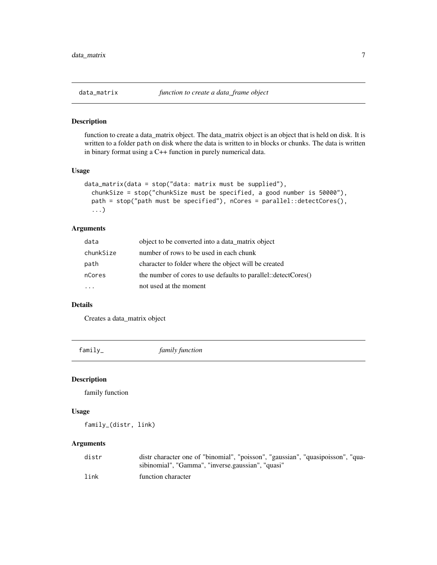<span id="page-6-0"></span>

function to create a data\_matrix object. The data\_matrix object is an object that is held on disk. It is written to a folder path on disk where the data is written to in blocks or chunks. The data is written in binary format using a C++ function in purely numerical data.

#### Usage

```
data_matrix(data = stop("data: matrix must be supplied"),
  chunkSize = stop("chunkSize must be specified, a good number is 50000"),
 path = stop("path must be specified"), nCores = parallel::detectCores(),
  ...)
```
#### Arguments

| data      | object to be converted into a data_matrix object               |
|-----------|----------------------------------------------------------------|
| chunkSize | number of rows to be used in each chunk                        |
| path      | character to folder where the object will be created           |
| nCores    | the number of cores to use defaults to parallel::detectCores() |
|           | not used at the moment                                         |

#### Details

Creates a data\_matrix object

family\_ *family function*

#### Description

family function

#### Usage

family\_(distr, link)

| distr | distr character one of "binomial", "poisson", "gaussian", "quasipoisson", "qua- |
|-------|---------------------------------------------------------------------------------|
|       | sibinomial", "Gamma", "inverse.gaussian", "quasi"                               |
| link  | function character                                                              |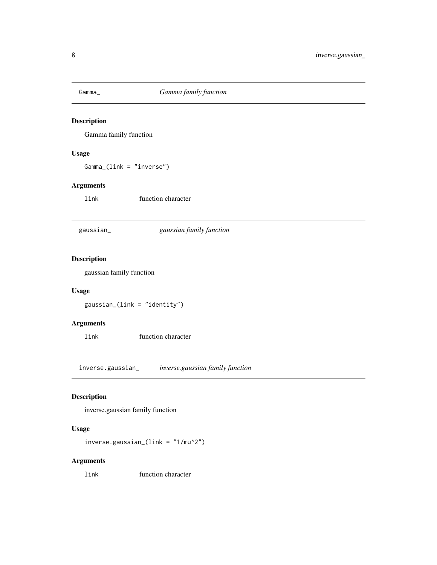<span id="page-7-0"></span>

Gamma family function

#### Usage

Gamma\_(link = "inverse")

## Arguments

link function character

gaussian\_ *gaussian family function*

## Description

gaussian family function

#### Usage

gaussian\_(link = "identity")

## Arguments

link function character

inverse.gaussian\_ *inverse.gaussian family function*

#### Description

inverse.gaussian family function

#### Usage

```
inverse.gaussian_(link = "1/mu^2")
```
#### Arguments

link function character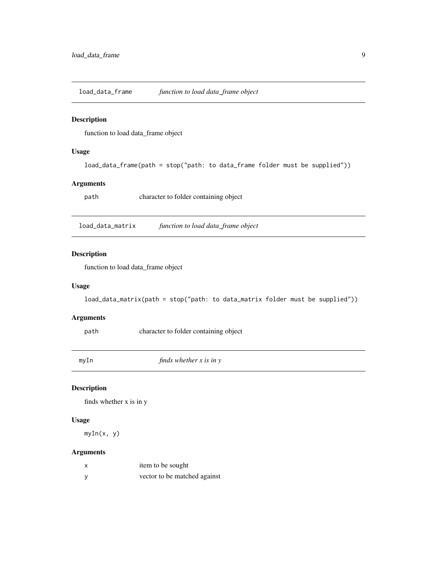<span id="page-8-0"></span>load\_data\_frame *function to load data\_frame object*

#### Description

function to load data\_frame object

#### Usage

load\_data\_frame(path = stop("path: to data\_frame folder must be supplied"))

#### Arguments

path character to folder containing object

load\_data\_matrix *function to load data\_frame object*

#### Description

function to load data\_frame object

#### Usage

load\_data\_matrix(path = stop("path: to data\_matrix folder must be supplied"))

#### Arguments

path character to folder containing object

myIn *finds whether x is in y*

#### Description

finds whether x is in y

#### Usage

myIn(x, y)

| item to be sought            |
|------------------------------|
| vector to be matched against |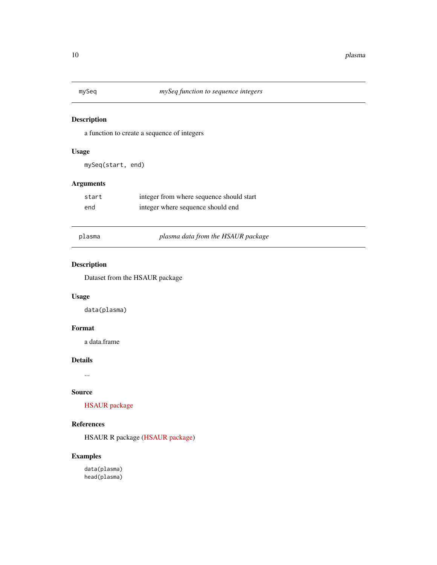<span id="page-9-0"></span>

a function to create a sequence of integers

#### Usage

mySeq(start, end)

#### Arguments

| start | integer from where sequence should start |
|-------|------------------------------------------|
| end   | integer where sequence should end        |

plasma *plasma data from the HSAUR package*

## Description

Dataset from the HSAUR package

#### Usage

data(plasma)

#### Format

a data.frame

#### Details

...

#### Source

[HSAUR package](https://cran.r-project.org/package=HSAUR)

## References

HSAUR R package [\(HSAUR package\)](https://cran.r-project.org/package=HSAUR)

## Examples

data(plasma) head(plasma)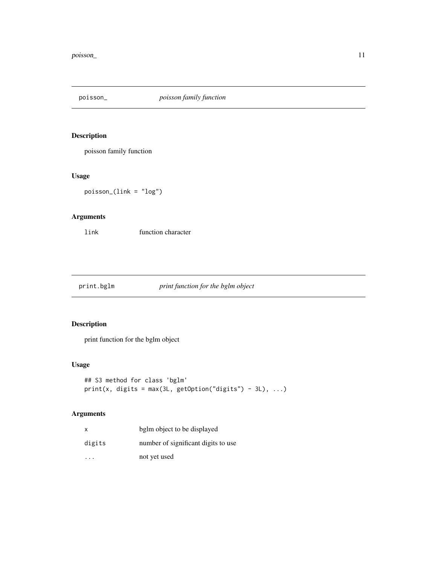<span id="page-10-0"></span>

poisson family function

## Usage

poisson\_(link = "log")

## Arguments

link function character

print.bglm *print function for the bglm object*

## Description

print function for the bglm object

## Usage

```
## S3 method for class 'bglm'
print(x, digits = max(3L, getOption("digits") - 3L), ...)
```

| $\mathsf{x}$         | bglm object to be displayed         |
|----------------------|-------------------------------------|
| digits               | number of significant digits to use |
| $\ddot{\phantom{0}}$ | not yet used                        |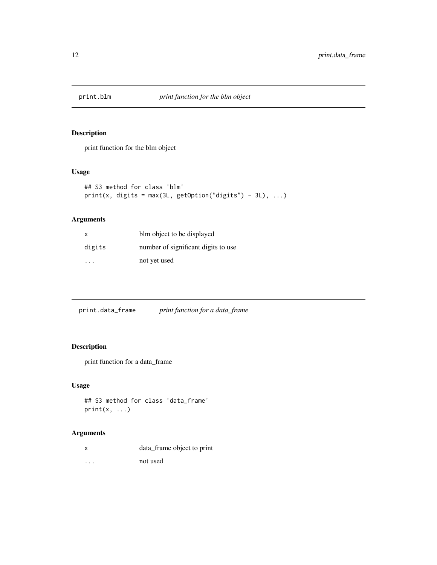<span id="page-11-0"></span>

print function for the blm object

#### Usage

```
## S3 method for class 'blm'
print(x, digits = max(3L, getOption("digits") - 3L), ...)
```
#### Arguments

| $\mathsf{x}$ | blm object to be displayed          |
|--------------|-------------------------------------|
| digits       | number of significant digits to use |
| .            | not yet used                        |

| print function for a data_frame<br>print.data_frame |  |  |  |
|-----------------------------------------------------|--|--|--|
|-----------------------------------------------------|--|--|--|

## Description

print function for a data\_frame

## Usage

```
## S3 method for class 'data_frame'
print(x, \ldots)
```
## Arguments

|  | data_frame object to print |  |
|--|----------------------------|--|
|  |                            |  |

... not used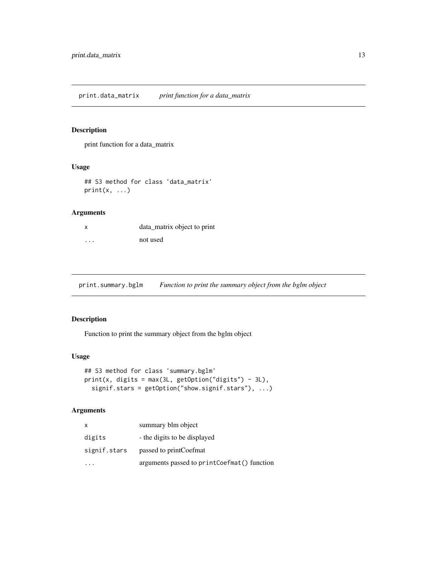<span id="page-12-0"></span>print function for a data\_matrix

#### Usage

## S3 method for class 'data\_matrix'  $print(x, \ldots)$ 

#### Arguments

| X        | data_matrix object to print |
|----------|-----------------------------|
| $\cdots$ | not used                    |

print.summary.bglm *Function to print the summary object from the bglm object*

#### Description

Function to print the summary object from the bglm object

#### Usage

```
## S3 method for class 'summary.bglm'
print(x, digits = max(3L, getOption("digits") - 3L),signif.stars = getOption("show.signif.stars"), ...)
```

| x            | summary blm object                          |
|--------------|---------------------------------------------|
| digits       | - the digits to be displayed                |
| signif.stars | passed to printCoefmat                      |
|              | arguments passed to printCoefmat() function |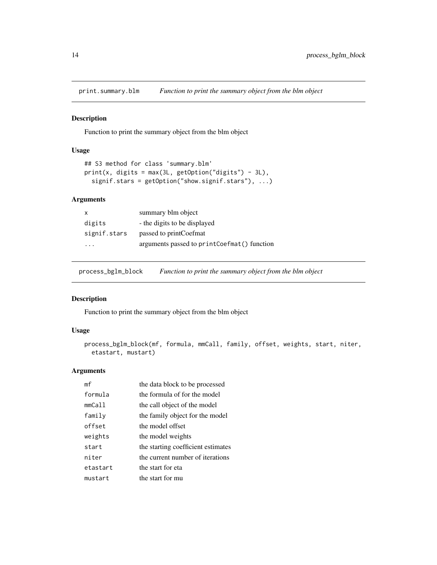<span id="page-13-0"></span>

Function to print the summary object from the blm object

#### Usage

```
## S3 method for class 'summary.blm'
print(x, digits = max(3L, getOption("digits") - 3L),
 signif.stars = getOption("show.signif.stars"), ...)
```
#### Arguments

| summary blm object                          |
|---------------------------------------------|
| - the digits to be displayed                |
| passed to printCoefmat                      |
| arguments passed to printCoefmat() function |
|                                             |

process\_bglm\_block *Function to print the summary object from the blm object*

## Description

Function to print the summary object from the blm object

#### Usage

```
process_bglm_block(mf, formula, mmCall, family, offset, weights, start, niter,
 etastart, mustart)
```

| mf       | the data block to be processed     |
|----------|------------------------------------|
| formula  | the formula of for the model       |
| mmCall   | the call object of the model       |
| family   | the family object for the model    |
| offset   | the model offset                   |
| weights  | the model weights                  |
| start    | the starting coefficient estimates |
| niter    | the current number of iterations   |
| etastart | the start for eta                  |
| mustart  | the start for mu                   |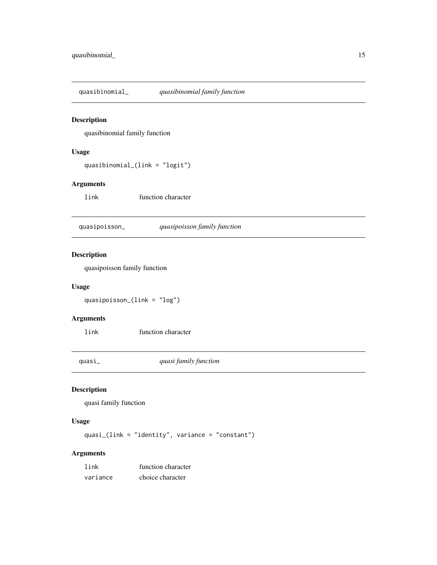<span id="page-14-0"></span>quasibinomial\_ *quasibinomial family function*

#### Description

quasibinomial family function

#### Usage

```
quasibinomial_(link = "logit")
```
#### Arguments

link function character

quasipoisson\_ *quasipoisson family function*

#### Description

quasipoisson family function

#### Usage

quasipoisson\_(link = "log")

#### Arguments

link function character

quasi\_ *quasi family function*

#### Description

quasi family function

#### Usage

quasi\_(link = "identity", variance = "constant")

| link     | function character |
|----------|--------------------|
| variance | choice character   |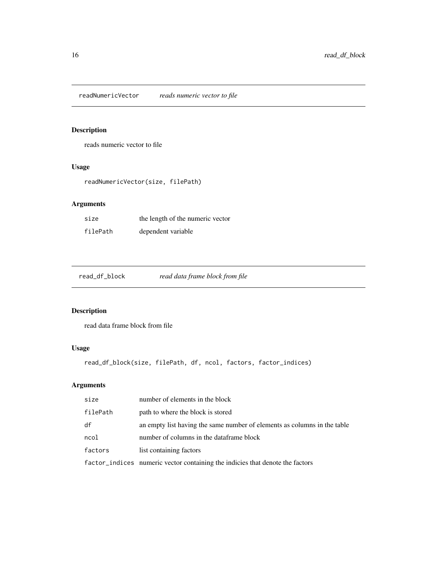<span id="page-15-0"></span>readNumericVector *reads numeric vector to file*

## Description

reads numeric vector to file

#### Usage

readNumericVector(size, filePath)

## Arguments

| size     | the length of the numeric vector |
|----------|----------------------------------|
| filePath | dependent variable               |

read\_df\_block *read data frame block from file*

## Description

read data frame block from file

## Usage

```
read_df_block(size, filePath, df, ncol, factors, factor_indices)
```

| size     | number of elements in the block                                               |
|----------|-------------------------------------------------------------------------------|
| filePath | path to where the block is stored                                             |
| df       | an empty list having the same number of elements as columns in the table      |
| ncol     | number of columns in the dataframe block                                      |
| factors  | list containing factors                                                       |
|          | factor_indices numeric vector containing the indicies that denote the factors |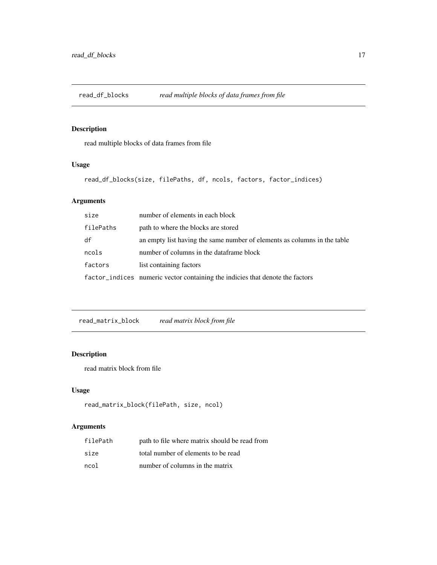<span id="page-16-0"></span>

read multiple blocks of data frames from file

#### Usage

read\_df\_blocks(size, filePaths, df, ncols, factors, factor\_indices)

## Arguments

| size      | number of elements in each block                                              |
|-----------|-------------------------------------------------------------------------------|
| filePaths | path to where the blocks are stored                                           |
| df        | an empty list having the same number of elements as columns in the table      |
| ncols     | number of columns in the dataframe block                                      |
| factors   | list containing factors                                                       |
|           | factor_indices numeric vector containing the indicies that denote the factors |

read\_matrix\_block *read matrix block from file*

#### Description

read matrix block from file

#### Usage

```
read_matrix_block(filePath, size, ncol)
```

| filePath | path to file where matrix should be read from |
|----------|-----------------------------------------------|
| size     | total number of elements to be read           |
| ncol     | number of columns in the matrix               |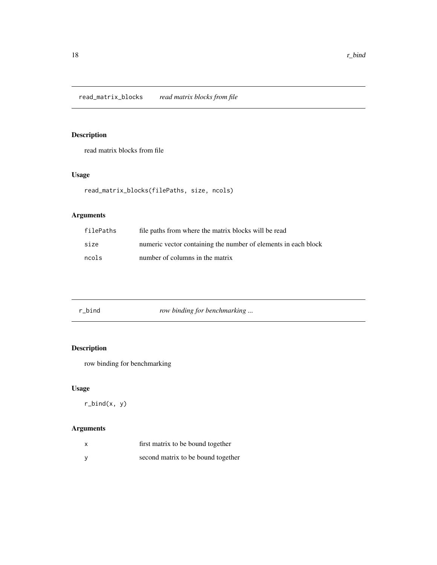<span id="page-17-0"></span>read matrix blocks from file

## Usage

```
read_matrix_blocks(filePaths, size, ncols)
```
#### Arguments

| filePaths | file paths from where the matrix blocks will be read           |
|-----------|----------------------------------------------------------------|
| size      | numeric vector containing the number of elements in each block |
| ncols     | number of columns in the matrix                                |

| row binding for benchmarking<br>r bind |  |
|----------------------------------------|--|
|----------------------------------------|--|

## Description

row binding for benchmarking

## Usage

r\_bind(x, y)

| x | first matrix to be bound together  |
|---|------------------------------------|
|   | second matrix to be bound together |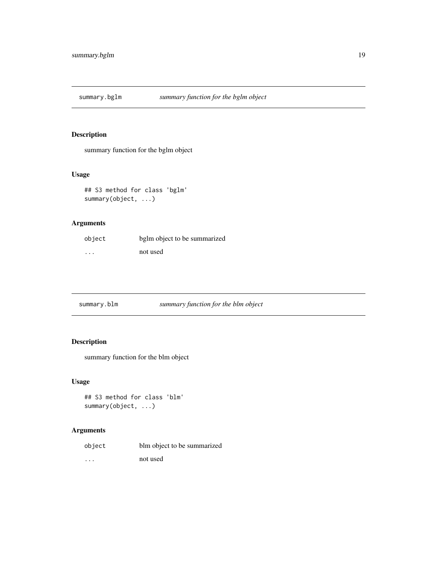<span id="page-18-0"></span>

summary function for the bglm object

#### Usage

```
## S3 method for class 'bglm'
summary(object, ...)
```
#### Arguments

| object  | bglm object to be summarized |
|---------|------------------------------|
| $\cdot$ | not used                     |

| summary.blm | S1 |
|-------------|----|
|             |    |

## summary.blm *summary function for the blm object*

## Description

summary function for the blm object

#### Usage

```
## S3 method for class 'blm'
summary(object, ...)
```

| object   | blm object to be summarized |
|----------|-----------------------------|
| $\cdots$ | not used                    |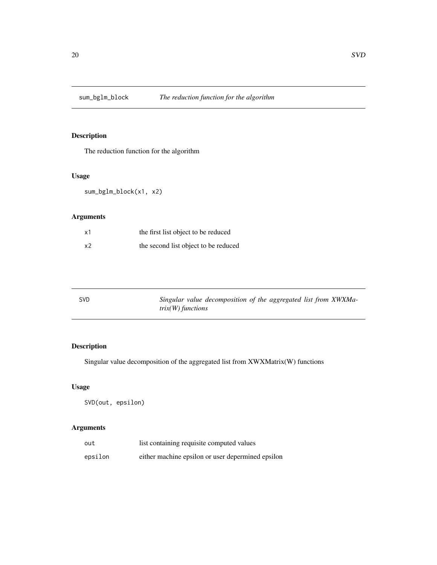<span id="page-19-0"></span>sum\_bglm\_block *The reduction function for the algorithm*

## Description

The reduction function for the algorithm

## Usage

sum\_bglm\_block(x1, x2)

## Arguments

| x1             | the first list object to be reduced  |
|----------------|--------------------------------------|
| x <sub>2</sub> | the second list object to be reduced |

| <b>SVD</b> | Singular value decomposition of the aggregated list from XWXMa- |
|------------|-----------------------------------------------------------------|
|            | $trix(W)$ functions                                             |

## Description

Singular value decomposition of the aggregated list from XWXMatrix(W) functions

#### Usage

SVD(out, epsilon)

| out     | list containing requisite computed values         |
|---------|---------------------------------------------------|
| epsilon | either machine epsilon or user depermined epsilon |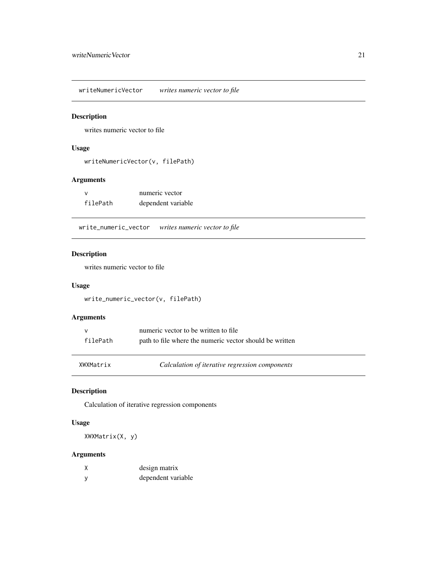<span id="page-20-0"></span>writeNumericVector *writes numeric vector to file*

#### Description

writes numeric vector to file

#### Usage

writeNumericVector(v, filePath)

#### Arguments

| $\mathbf{v}$ | numeric vector     |
|--------------|--------------------|
| filePath     | dependent variable |

write\_numeric\_vector *writes numeric vector to file*

#### Description

writes numeric vector to file

#### Usage

write\_numeric\_vector(v, filePath)

#### Arguments

| $\mathsf{v}$ | numeric vector to be written to file.                   |
|--------------|---------------------------------------------------------|
| filePath     | path to file where the numeric vector should be written |

#### Description

Calculation of iterative regression components

#### Usage

XWXMatrix(X, y)

|     | design matrix      |
|-----|--------------------|
| - V | dependent variable |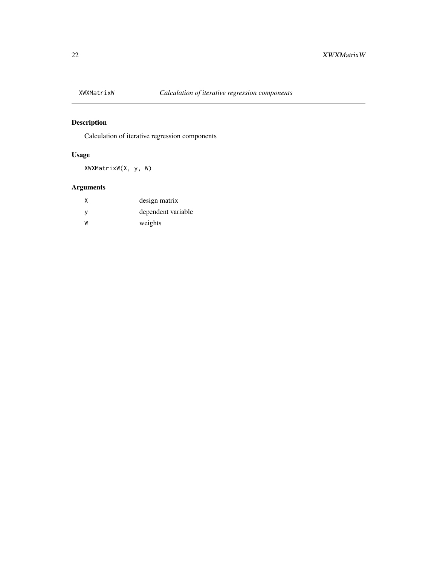<span id="page-21-0"></span>

Calculation of iterative regression components

## Usage

XWXMatrixW(X, y, W)

| X        | design matrix      |
|----------|--------------------|
| <b>V</b> | dependent variable |
| W        | weights            |